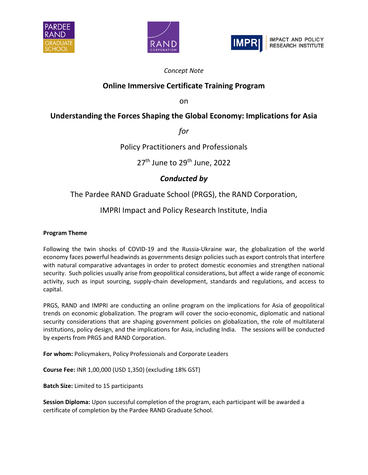





### *Concept Note*

## **Online Immersive Certificate Training Program**

on

# **Understanding the Forces Shaping the Global Economy: Implications for Asia**

*for*

### Policy Practitioners and Professionals

27<sup>th</sup> June to 29<sup>th</sup> June, 2022

# *Conducted by*

### The Pardee RAND Graduate School (PRGS), the RAND Corporation,

## IMPRI Impact and Policy Research Institute, India

#### **Program Theme**

Following the twin shocks of COVID-19 and the Russia-Ukraine war, the globalization of the world economy faces powerful headwinds as governments design policies such as export controls that interfere with natural comparative advantages in order to protect domestic economies and strengthen national security. Such policies usually arise from geopolitical considerations, but affect a wide range of economic activity, such as input sourcing, supply-chain development, standards and regulations, and access to capital.

PRGS, RAND and IMPRI are conducting an online program on the implications for Asia of geopolitical trends on economic globalization. The program will cover the socio-economic, diplomatic and national security considerations that are shaping government policies on globalization, the role of multilateral institutions, policy design, and the implications for Asia, including India. The sessions will be conducted by experts from PRGS and RAND Corporation.

**For whom:** Policymakers, Policy Professionals and Corporate Leaders

**Course Fee:** INR 1,00,000 (USD 1,350) (excluding 18% GST)

**Batch Size:** Limited to 15 participants

**Session Diploma:** Upon successful completion of the program, each participant will be awarded a certificate of completion by the Pardee RAND Graduate School.